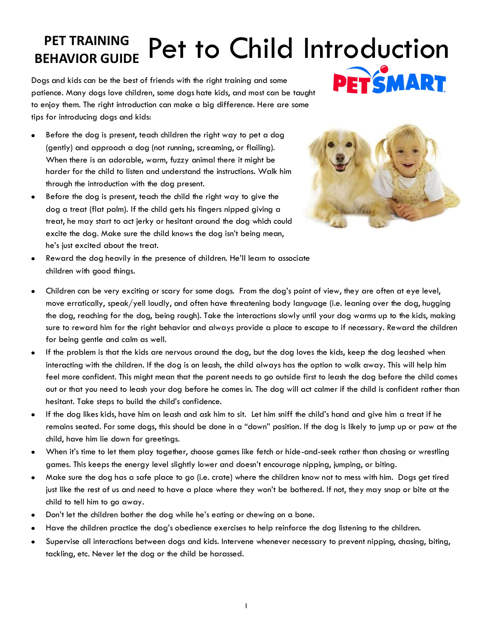## **PET TRAINING** Pet to Child Introduction

Dogs and kids can be the best of friends with the right training and some patience. Many dogs love children, some dogs hate kids, and most can be taught to enjoy them. The right introduction can make a big difference. Here are some tips for introducing dogs and kids:



- Before the dog is present, teach children the right way to pet a dog (gently) and approach a dog (not running, screaming, or flailing). When there is an adorable, warm, fuzzy animal there it might be harder for the child to listen and understand the instructions. Walk him through the introduction with the dog present.
- Before the dog is present, teach the child the right way to give the dog a treat (flat palm). If the child gets his fingers nipped giving a treat, he may start to act jerky or hesitant around the dog which could excite the dog. Make sure the child knows the dog isn't being mean, he's just excited about the treat.



- Reward the dog heavily in the presence of children. He'll learn to associate  $\bullet$ children with good things.
- Children can be very exciting or scary for some dogs. From the dog's point of view, they are often at eye level, move erratically, speak/yell loudly, and often have threatening body language (i.e. leaning over the dog, hugging the dog, reaching for the dog, being rough). Take the interactions slowly until your dog warms up to the kids, making sure to reward him for the right behavior and always provide a place to escape to if necessary. Reward the children for being gentle and calm as well.
- If the problem is that the kids are nervous around the dog, but the dog loves the kids, keep the dog leashed when interacting with the children. If the dog is on leash, the child always has the option to walk away. This will help him feel more confident. This might mean that the parent needs to go outside first to leash the dog before the child comes out or that you need to leash your dog before he comes in. The dog will act calmer if the child is confident rather than hesitant. Take steps to build the child's confidence.
- If the dog likes kids, have him on leash and ask him to sit. Let him sniff the child's hand and give him a treat if he  $\bullet$ remains seated. For some dogs, this should be done in a "down" position. If the dog is likely to jump up or paw at the child, have him lie down for greetings.
- When it's time to let them play together, choose games like fetch or hide-and-seek rather than chasing or wrestling games. This keeps the energy level slightly lower and doesn't encourage nipping, jumping, or biting.
- Make sure the dog has a safe place to go (i.e. crate) where the children know not to mess with him. Dogs get tired just like the rest of us and need to have a place where they won't be bothered. If not, they may snap or bite at the child to tell him to go away.
- Don't let the children bother the dog while he's eating or chewing on a bone.
- Have the children practice the dog's obedience exercises to help reinforce the dog listening to the children.
- Supervise all interactions between dogs and kids. Intervene whenever necessary to prevent nipping, chasing, biting,  $\bullet$ tackling, etc. Never let the dog or the child be harassed.